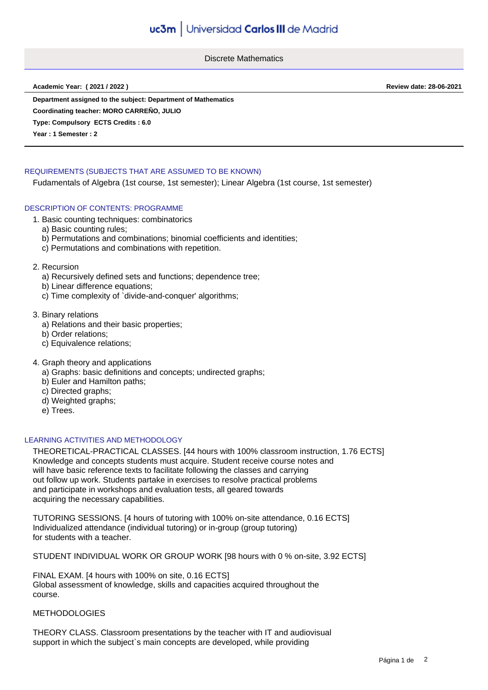Discrete Mathematics

**Academic Year: ( 2021 / 2022 ) Review date: 28-06-2021**

**Department assigned to the subject: Department of Mathematics**

**Coordinating teacher: MORO CARREÑO, JULIO**

**Type: Compulsory ECTS Credits : 6.0**

**Year : 1 Semester : 2**

# REQUIREMENTS (SUBJECTS THAT ARE ASSUMED TO BE KNOWN)

Fudamentals of Algebra (1st course, 1st semester); Linear Algebra (1st course, 1st semester)

## DESCRIPTION OF CONTENTS: PROGRAMME

- 1. Basic counting techniques: combinatorics
	- a) Basic counting rules;
	- b) Permutations and combinations; binomial coefficients and identities;
	- c) Permutations and combinations with repetition.

#### 2. Recursion

- a) Recursively defined sets and functions; dependence tree;
- b) Linear difference equations;
- c) Time complexity of `divide-and-conquer' algorithms;
- 3. Binary relations
	- a) Relations and their basic properties;
	- b) Order relations;
	- c) Equivalence relations;
- 4. Graph theory and applications
	- a) Graphs: basic definitions and concepts; undirected graphs;
	- b) Euler and Hamilton paths;
	- c) Directed graphs:
	- d) Weighted graphs;
	- e) Trees.

### LEARNING ACTIVITIES AND METHODOLOGY

THEORETICAL-PRACTICAL CLASSES. [44 hours with 100% classroom instruction, 1.76 ECTS] Knowledge and concepts students must acquire. Student receive course notes and will have basic reference texts to facilitate following the classes and carrying out follow up work. Students partake in exercises to resolve practical problems and participate in workshops and evaluation tests, all geared towards acquiring the necessary capabilities.

TUTORING SESSIONS. [4 hours of tutoring with 100% on-site attendance, 0.16 ECTS] Individualized attendance (individual tutoring) or in-group (group tutoring) for students with a teacher.

STUDENT INDIVIDUAL WORK OR GROUP WORK [98 hours with 0 % on-site, 3.92 ECTS]

FINAL EXAM. [4 hours with 100% on site, 0.16 ECTS] Global assessment of knowledge, skills and capacities acquired throughout the course.

# **METHODOLOGIES**

THEORY CLASS. Classroom presentations by the teacher with IT and audiovisual support in which the subject's main concepts are developed, while providing